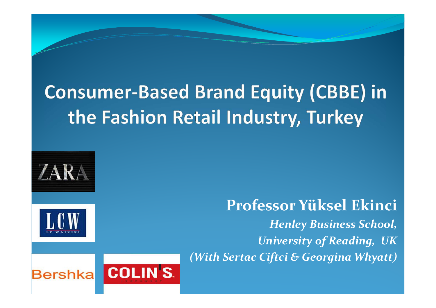### **Consumer-Based Brand Equity (CBBE) in** the Fashion Retail Industry, Turkey





**Professor Yüksel Ekinci***Henley Business School, University of Reading, UK(With Sertac Ciftci & Georgina Whyatt)* 

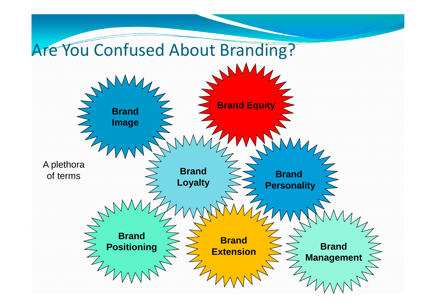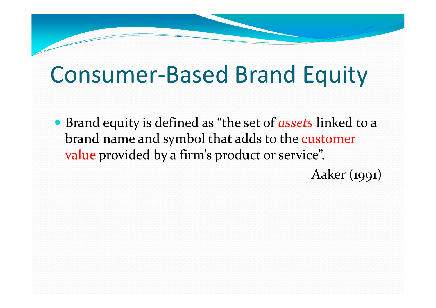### Consumer-Based Brand Equity

 Brand equity is defined as "the set of *assets* linked to a brand name and symbol that adds to the customer value provided by a firm's product or service".

Aaker (1991)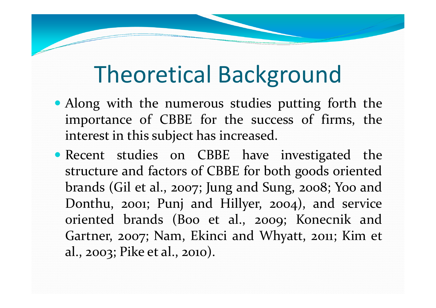### Theoretical Background

- Along with the numerous studies putting forth the importance of CBBE for the success of firms, the interest in this subject has increased.
- **Recent studies on CBBE have investigated the** structure and factors of CBBE for both goods oriented brands (Gil et al., 2007; Jung and Sung, 2008; Yoo and Donthu, 2001; Punj and Hillyer, 2004), and service oriented brands (Boo et al., 2009; Konecnik and Gartner, 2007; Nam, Ekinci and Whyatt, 2011; Kim et al., 2003; Pike et al., 2010).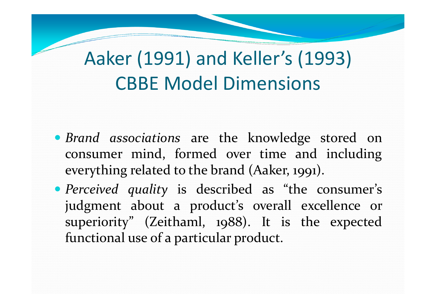### Aaker (1991) and Keller's (1993) CBBE Model Dimensions

- *Brand associations* are the knowledge stored on consumer mind, formed over time and includingeverything related to the brand (Aaker, 1991).
- *Perceived quality* is described as "the consumer's judgment about <sup>a</sup> product's overall excellence or superiority" (Zeithaml, <sup>19</sup>88). It is the expectedfunctional use of <sup>a</sup> particular product.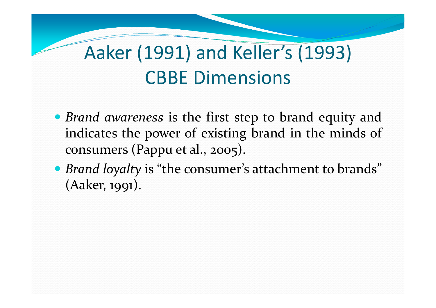### Aaker (1991) and Keller's (1993) CBBE Dimensions

- *Brand awareness* is the first step to brand equity and indicates the power of existing brand in the minds of consumers (Pappu et al., 2005).
- *Brand loyalty* is "the consumer's attachment to brands" (Aaker, 1991).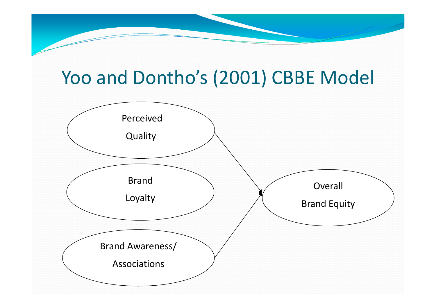# Yoo and Dontho's (2001) CBBE Model

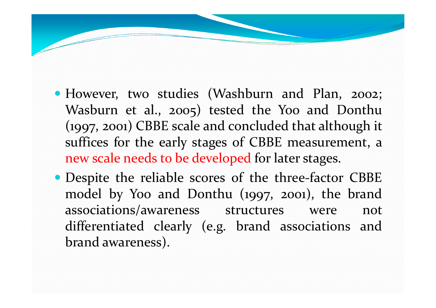- However, two studies (Washburn and Plan, 2002; Wasburn et al., 2005) tested the Yoo and Donthu (1997, 2001) CBBE scale and concluded that although it suffices for the early stages of CBBE measurement, <sup>a</sup> new scale needs to be developed for later stages.
- Despite the reliable scores of the three-factor CBBE model by Yoo and Donthu (1997, 2001), the brandassociations/awareness structures were not differentiated clearly (e.g. brand associations andbrand awareness).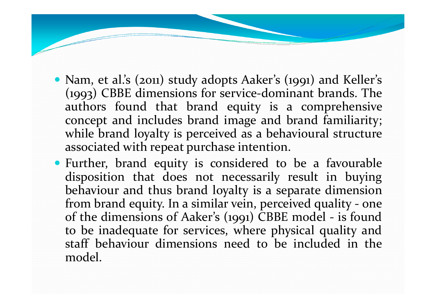- Nam, et al.'s (2011) study adopts Aaker's (1991) and Keller's (1993) CBBE dimensions for service-dominant brands. The authors found that brand equity is <sup>a</sup> comprehensive concep<sup>t</sup> and includes brand image and brand familiarity; while brand loyalty is perceived as a behavioural structure associated with repea<sup>t</sup> purchase intention.
- Further, brand equity is considered to be <sup>a</sup> favourable disposition that does not necessarily result in buying behaviour and thus brand loyalty is <sup>a</sup> separate dimensionfrom brand equity. In a similar vein, perceived quality - one<br>of the dimensions of Aaker's (1001) CBBE model - is found of the dimensions of Aaker's (1991) CBBE model - is found to be inadequate for services, where <sup>p</sup>hysical quality and staff behaviour dimensions need to be included in the model.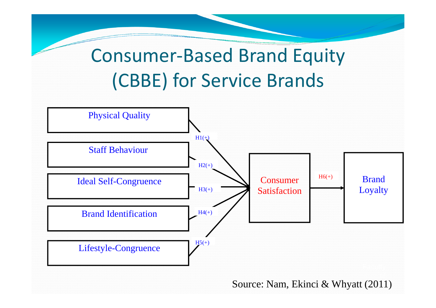Consumer-Based Brand Equity(CBBE) for Service Brands



Source: Nam, Ekinci & Whyatt (2011)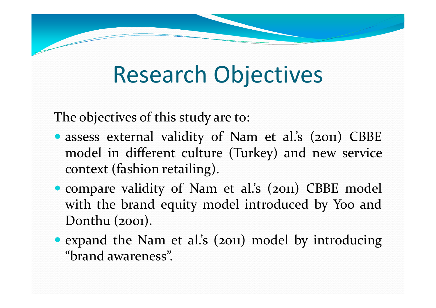## Research Objectives

The objectives of this study are to:

- assess external validity of Nam et al.'s (2011) CBBE model in different culture (Turkey) and new service context (fashion retailing).
- compare validity of Nam et al.'s (2011) CBBE model with the brand equity model introduced by Yoo and Donthu (2001).
- expand the Nam et al.'s (2011) model by introducing " "brand awareness".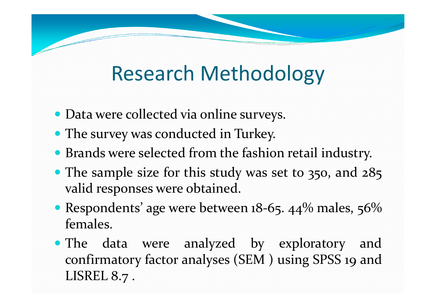### Research Methodology

- Data were collected via online surveys.
- The survey was conducted in Turkey.
- Brands were selected from the fashion retail industry.
- The sample size for this study was set to 350, and 285 valid responses were obtained.
- Respondents' age were between 18-65. 44% males, 56% females.
- The data were analyzed by exploratory and confirmatory factor analyses (SEM ) using SPSS 19 and<br>LISREL & -LISREL 8.7 .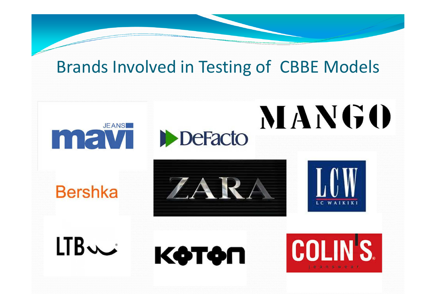#### **Brands Involved in Testing of CBBE Models**



#### **Bershka**

 $LTB$ 



**DeFacto** 



**MANGO** 

КФТФП

**COLINS.**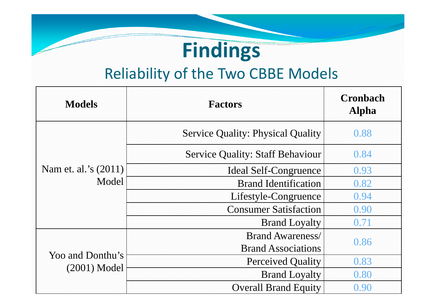### **Findings**

#### Reliability of the Two CBBE Models

| <b>Models</b>                      | <b>Factors</b>                           | <b>Cronbach</b><br><b>Alpha</b> |
|------------------------------------|------------------------------------------|---------------------------------|
| Nam et. al.'s (2011)<br>Model      | <b>Service Quality: Physical Quality</b> | 0.88                            |
|                                    | <b>Service Quality: Staff Behaviour</b>  | 0.84                            |
|                                    | <b>Ideal Self-Congruence</b>             | 0.93                            |
|                                    | <b>Brand Identification</b>              | 0.82                            |
|                                    | Lifestyle-Congruence                     | 0.94                            |
|                                    | <b>Consumer Satisfaction</b>             | 0.90                            |
|                                    | <b>Brand Loyalty</b>                     | 0.71                            |
| Yoo and Donthu's<br>$(2001)$ Model | <b>Brand Awareness</b> /                 | 0.86                            |
|                                    | <b>Brand Associations</b>                |                                 |
|                                    | <b>Perceived Quality</b>                 | 0.83                            |
|                                    | <b>Brand Loyalty</b>                     | 0.80                            |
|                                    | <b>Overall Brand Equity</b>              | 0.90                            |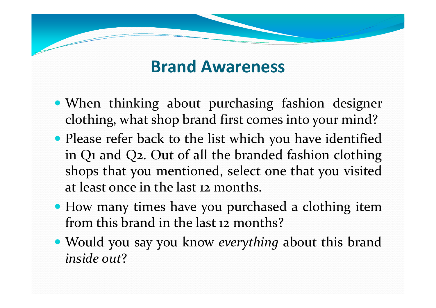#### **Brand Awareness**

- When thinking about purchasing fashion designer clothing, what shop brand first comes into your mind?
- Please refer back to the list which you have identified in Q1 and Q2. Out of all the branded fashion clothing shops that you mentioned, select one that you visitedat least once in the last <sup>12</sup> months.
- How many times have you purchased a clothing item from this brand in the last <sup>12</sup> months?
- Would you say you know *everything* about this brand *inside out* ?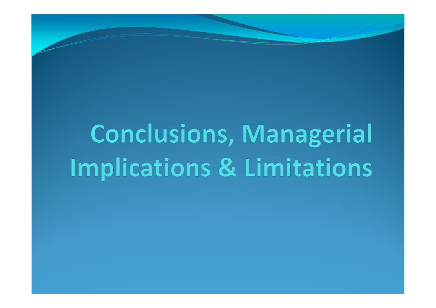# **Conclusions, Managerial** Implications & Limitations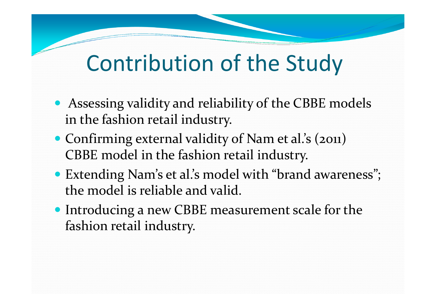### Contribution of the Study

- Assessing validity and reliability of the CBBE models in the fashion retail industry.
- Confirming external validity of Nam et al.'s (2011) CBBE model in the fashion retail industry.
- Extending Nam's et al.'s model with "brand awareness"; the model is reliable and valid.
- Introducing a new CBBE measurement scale for the fashion retail industry.